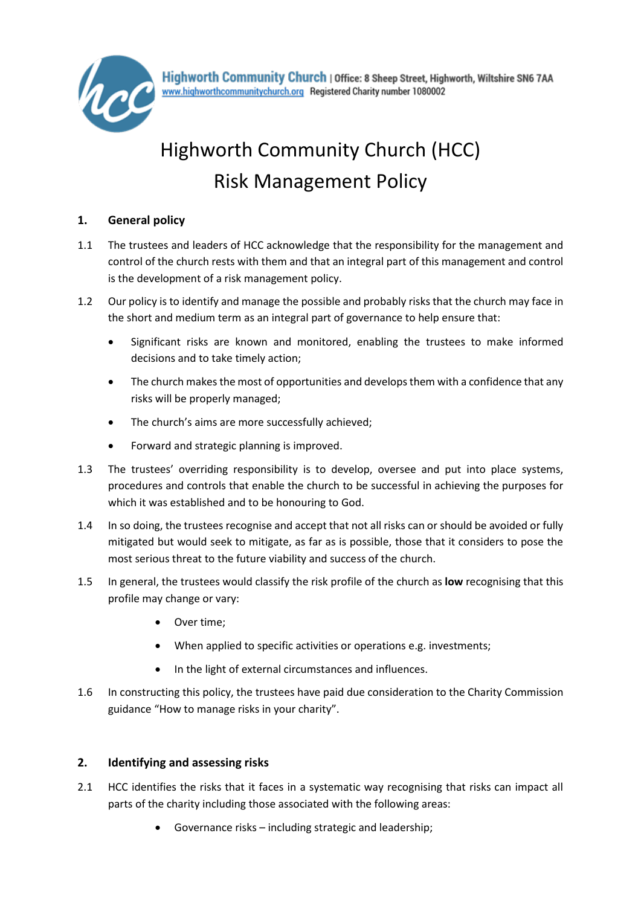

Highworth Community Church | Office: 8 Sheep Street, Highworth, Wiltshire SN6 7AA www.highworthcommunitychurch.org Registered Charity number 1080002

# Highworth Community Church (HCC) Risk Management Policy

### **1. General policy**

- 1.1 The trustees and leaders of HCC acknowledge that the responsibility for the management and control of the church rests with them and that an integral part of this management and control is the development of a risk management policy.
- 1.2 Our policy is to identify and manage the possible and probably risks that the church may face in the short and medium term as an integral part of governance to help ensure that:
	- Significant risks are known and monitored, enabling the trustees to make informed decisions and to take timely action;
	- The church makes the most of opportunities and develops them with a confidence that any risks will be properly managed;
	- The church's aims are more successfully achieved;
	- Forward and strategic planning is improved.
- 1.3 The trustees' overriding responsibility is to develop, oversee and put into place systems, procedures and controls that enable the church to be successful in achieving the purposes for which it was established and to be honouring to God.
- 1.4 In so doing, the trustees recognise and accept that not all risks can or should be avoided or fully mitigated but would seek to mitigate, as far as is possible, those that it considers to pose the most serious threat to the future viability and success of the church.
- 1.5 In general, the trustees would classify the risk profile of the church as **low** recognising that this profile may change or vary:
	- Over time;
	- When applied to specific activities or operations e.g. investments;
	- In the light of external circumstances and influences.
- 1.6 In constructing this policy, the trustees have paid due consideration to the Charity Commission guidance "How to manage risks in your charity".

### **2. Identifying and assessing risks**

- 2.1 HCC identifies the risks that it faces in a systematic way recognising that risks can impact all parts of the charity including those associated with the following areas:
	- Governance risks including strategic and leadership;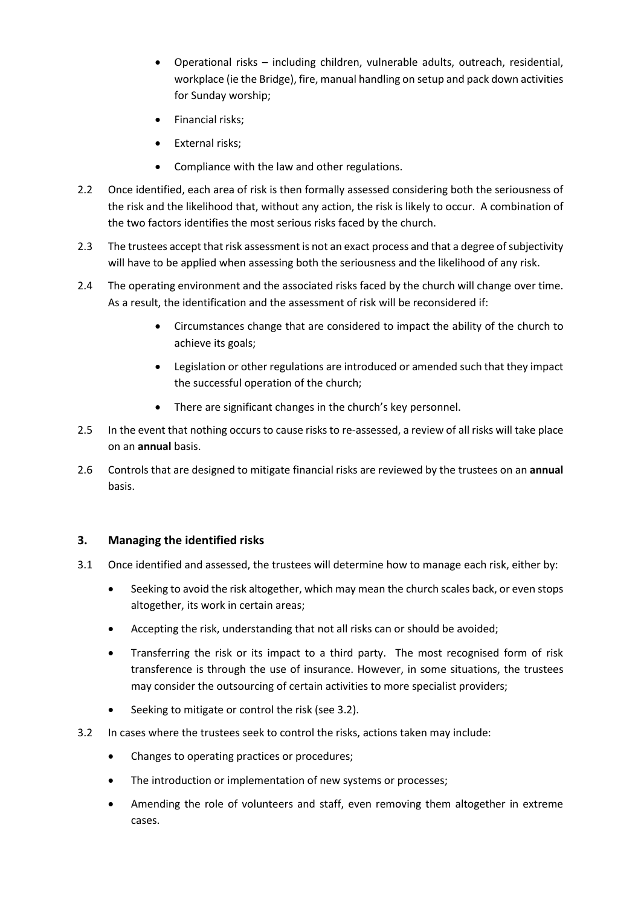- Operational risks including children, vulnerable adults, outreach, residential, workplace (ie the Bridge), fire, manual handling on setup and pack down activities for Sunday worship;
- Financial risks;
- External risks;
- Compliance with the law and other regulations.
- 2.2 Once identified, each area of risk is then formally assessed considering both the seriousness of the risk and the likelihood that, without any action, the risk is likely to occur. A combination of the two factors identifies the most serious risks faced by the church.
- 2.3 The trustees accept that risk assessment is not an exact process and that a degree of subjectivity will have to be applied when assessing both the seriousness and the likelihood of any risk.
- 2.4 The operating environment and the associated risks faced by the church will change over time. As a result, the identification and the assessment of risk will be reconsidered if:
	- Circumstances change that are considered to impact the ability of the church to achieve its goals;
	- Legislation or other regulations are introduced or amended such that they impact the successful operation of the church;
	- There are significant changes in the church's key personnel.
- 2.5 In the event that nothing occurs to cause risks to re-assessed, a review of all risks will take place on an **annual** basis.
- 2.6 Controls that are designed to mitigate financial risks are reviewed by the trustees on an **annual**  basis.

### **3. Managing the identified risks**

- 3.1 Once identified and assessed, the trustees will determine how to manage each risk, either by:
	- Seeking to avoid the risk altogether, which may mean the church scales back, or even stops altogether, its work in certain areas;
	- Accepting the risk, understanding that not all risks can or should be avoided;
	- Transferring the risk or its impact to a third party. The most recognised form of risk transference is through the use of insurance. However, in some situations, the trustees may consider the outsourcing of certain activities to more specialist providers;
	- Seeking to mitigate or control the risk (see 3.2).
- 3.2 In cases where the trustees seek to control the risks, actions taken may include:
	- Changes to operating practices or procedures;
	- The introduction or implementation of new systems or processes;
	- Amending the role of volunteers and staff, even removing them altogether in extreme cases.